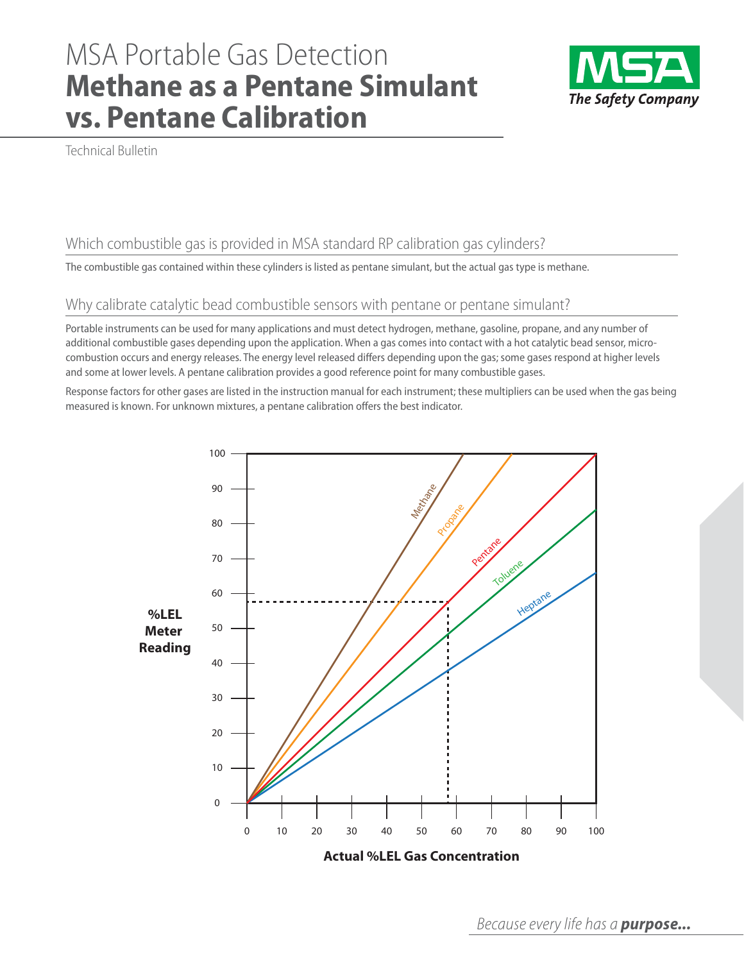# MSA Portable Gas Detection **Methane as a Pentane Simulant vs. Pentane Calibration**



Technical Bulletin

## Which combustible gas is provided in MSA standard RP calibration gas cylinders?

The combustible gas contained within these cylinders is listed as pentane simulant, but the actual gas type is methane.

### Why calibrate catalytic bead combustible sensors with pentane or pentane simulant?

Portable instruments can be used for many applications and must detect hydrogen, methane, gasoline, propane, and any number of additional combustible gases depending upon the application. When a gas comes into contact with a hot catalytic bead sensor, microcombustion occurs and energy releases. The energy level released differs depending upon the gas; some gases respond at higher levels and some at lower levels. A pentane calibration provides a good reference point for many combustible gases.

Response factors for other gases are listed in the instruction manual for each instrument; these multipliers can be used when the gas being measured is known. For unknown mixtures, a pentane calibration offers the best indicator.